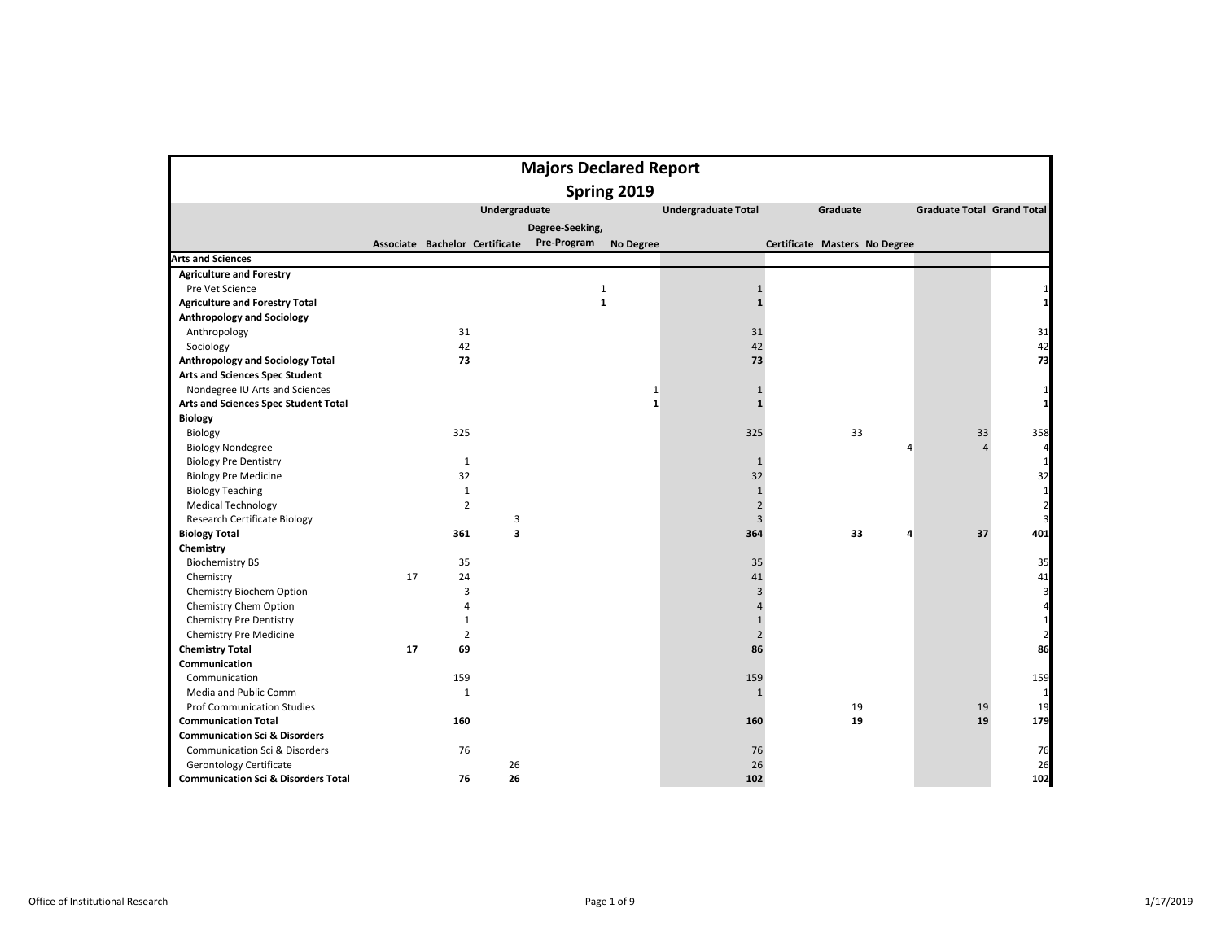|                                                |    |                                |                         |                 | <b>Majors Declared Report</b> |                            |                               |                                   |                         |
|------------------------------------------------|----|--------------------------------|-------------------------|-----------------|-------------------------------|----------------------------|-------------------------------|-----------------------------------|-------------------------|
|                                                |    |                                |                         |                 | Spring 2019                   |                            |                               |                                   |                         |
|                                                |    |                                | <b>Undergraduate</b>    |                 |                               | <b>Undergraduate Total</b> | Graduate                      | <b>Graduate Total Grand Total</b> |                         |
|                                                |    |                                |                         | Degree-Seeking, |                               |                            |                               |                                   |                         |
|                                                |    | Associate Bachelor Certificate |                         | Pre-Program     | <b>No Degree</b>              |                            | Certificate Masters No Degree |                                   |                         |
| <b>Arts and Sciences</b>                       |    |                                |                         |                 |                               |                            |                               |                                   |                         |
| <b>Agriculture and Forestry</b>                |    |                                |                         |                 |                               |                            |                               |                                   |                         |
| Pre Vet Science                                |    |                                |                         | $\mathbf{1}$    |                               | $\mathbf{1}$               |                               |                                   | 1                       |
| <b>Agriculture and Forestry Total</b>          |    |                                |                         | $\mathbf{1}$    |                               | $\mathbf{1}$               |                               |                                   | 1                       |
| <b>Anthropology and Sociology</b>              |    |                                |                         |                 |                               |                            |                               |                                   |                         |
| Anthropology                                   |    | 31                             |                         |                 |                               | 31                         |                               |                                   | 31                      |
| Sociology                                      |    | 42                             |                         |                 |                               | 42                         |                               |                                   | 42                      |
| Anthropology and Sociology Total               |    | 73                             |                         |                 |                               | 73                         |                               |                                   | 73                      |
| <b>Arts and Sciences Spec Student</b>          |    |                                |                         |                 |                               |                            |                               |                                   |                         |
| Nondegree IU Arts and Sciences                 |    |                                |                         |                 | $\mathbf{1}$                  | $\mathbf{1}$               |                               |                                   | 1                       |
| Arts and Sciences Spec Student Total           |    |                                |                         |                 | $\mathbf{1}$                  | $\mathbf{1}$               |                               |                                   | 1                       |
| <b>Biology</b>                                 |    |                                |                         |                 |                               |                            |                               |                                   |                         |
| Biology                                        |    | 325                            |                         |                 |                               | 325                        | 33                            | 33                                | 358                     |
| <b>Biology Nondegree</b>                       |    |                                |                         |                 |                               |                            |                               | $\overline{4}$<br>$\overline{4}$  | 4                       |
| <b>Biology Pre Dentistry</b>                   |    | 1                              |                         |                 |                               | $\mathbf{1}$               |                               |                                   | 1                       |
| <b>Biology Pre Medicine</b>                    |    | 32                             |                         |                 |                               | 32                         |                               |                                   | 32                      |
| <b>Biology Teaching</b>                        |    | $\mathbf{1}$                   |                         |                 |                               | $\mathbf{1}$               |                               |                                   | 1                       |
| <b>Medical Technology</b>                      |    | $\overline{2}$                 |                         |                 |                               | $\overline{2}$             |                               |                                   | $\overline{2}$          |
| <b>Research Certificate Biology</b>            |    |                                | 3                       |                 |                               | $\overline{3}$             |                               |                                   | 3                       |
| <b>Biology Total</b>                           |    | 361                            | $\overline{\mathbf{3}}$ |                 |                               | 364                        | 33                            | 37<br>4                           | 401                     |
| Chemistry                                      |    |                                |                         |                 |                               |                            |                               |                                   |                         |
| <b>Biochemistry BS</b>                         |    | 35                             |                         |                 |                               | 35                         |                               |                                   | 35                      |
| Chemistry                                      | 17 | 24                             |                         |                 |                               | 41                         |                               |                                   | 41                      |
| Chemistry Biochem Option                       |    | 3                              |                         |                 |                               | 3                          |                               |                                   | $\overline{\mathbf{3}}$ |
| Chemistry Chem Option                          |    | $\overline{A}$                 |                         |                 |                               | $\overline{a}$             |                               |                                   | 4                       |
| <b>Chemistry Pre Dentistry</b>                 |    | $\mathbf{1}$                   |                         |                 |                               | $\mathbf{1}$               |                               |                                   | 1                       |
| <b>Chemistry Pre Medicine</b>                  |    | $\overline{2}$                 |                         |                 |                               | $\overline{2}$             |                               |                                   | $\overline{2}$          |
| <b>Chemistry Total</b>                         | 17 | 69                             |                         |                 |                               | 86                         |                               |                                   | 86                      |
| Communication                                  |    |                                |                         |                 |                               |                            |                               |                                   |                         |
| Communication                                  |    | 159                            |                         |                 |                               | 159                        |                               |                                   | 159                     |
| Media and Public Comm                          |    | $\mathbf{1}$                   |                         |                 |                               | $\mathbf{1}$               |                               |                                   | 1                       |
| <b>Prof Communication Studies</b>              |    |                                |                         |                 |                               |                            | 19                            | 19                                | 19                      |
| <b>Communication Total</b>                     |    | 160                            |                         |                 |                               | 160                        | 19                            | 19                                | 179                     |
| <b>Communication Sci &amp; Disorders</b>       |    |                                |                         |                 |                               |                            |                               |                                   |                         |
| <b>Communication Sci &amp; Disorders</b>       |    | 76                             |                         |                 |                               | 76                         |                               |                                   | 76                      |
| <b>Gerontology Certificate</b>                 |    |                                | 26                      |                 |                               | 26                         |                               |                                   | 26                      |
| <b>Communication Sci &amp; Disorders Total</b> |    | 76                             | 26                      |                 |                               | 102                        |                               |                                   | 102                     |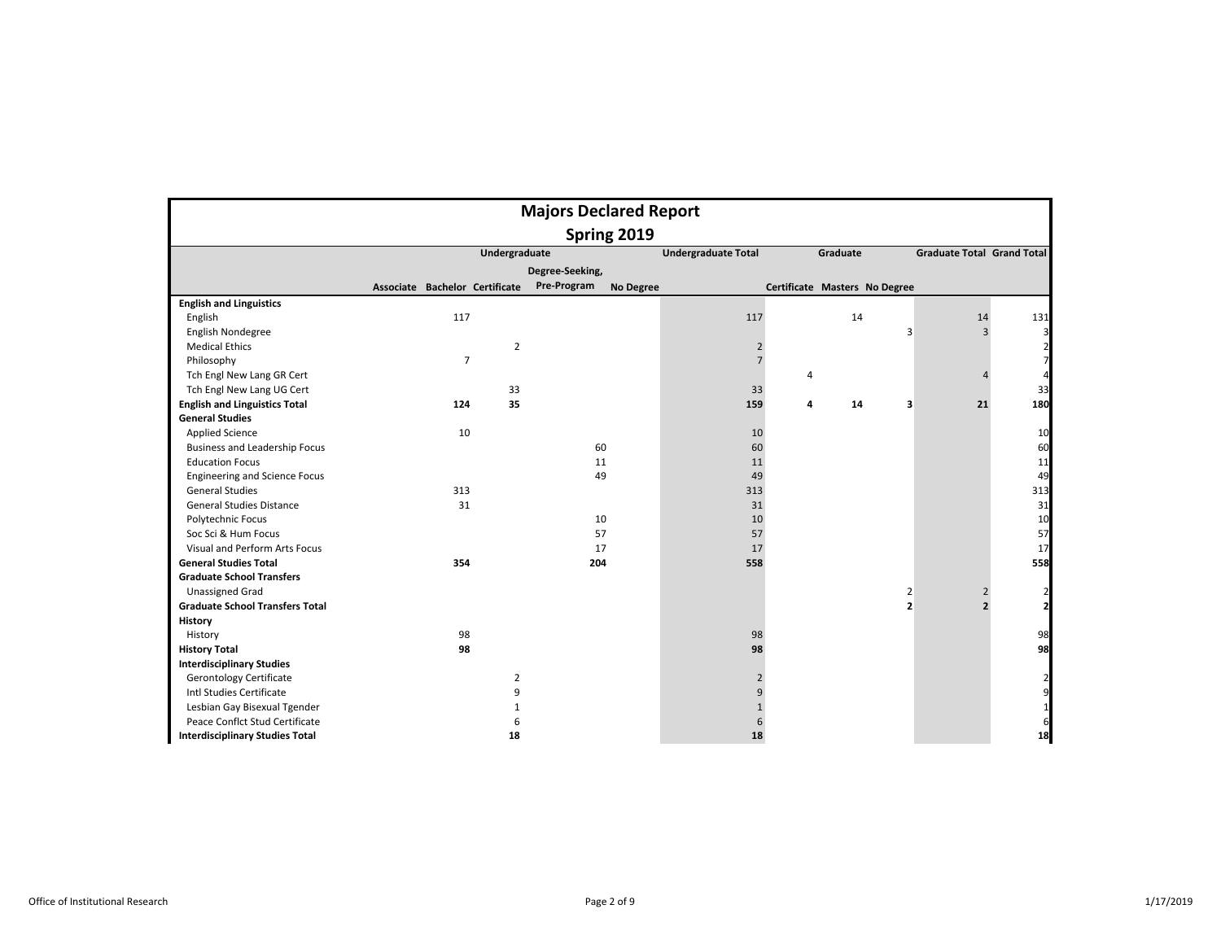|                                        |                                |                |                | <b>Majors Declared Report</b>   |                            |                |                               |                |                                   |                         |
|----------------------------------------|--------------------------------|----------------|----------------|---------------------------------|----------------------------|----------------|-------------------------------|----------------|-----------------------------------|-------------------------|
|                                        |                                |                |                | Spring 2019                     |                            |                |                               |                |                                   |                         |
|                                        |                                |                | Undergraduate  |                                 | <b>Undergraduate Total</b> |                | Graduate                      |                | <b>Graduate Total Grand Total</b> |                         |
|                                        |                                |                |                | Degree-Seeking,                 |                            |                |                               |                |                                   |                         |
|                                        | Associate Bachelor Certificate |                |                | Pre-Program<br><b>No Degree</b> |                            |                | Certificate Masters No Degree |                |                                   |                         |
| <b>English and Linguistics</b>         |                                |                |                |                                 |                            |                |                               |                |                                   |                         |
| English                                |                                | 117            |                |                                 | 117                        |                | 14                            |                | 14                                | 131                     |
| English Nondegree                      |                                |                |                |                                 |                            |                |                               | 3              | 3                                 | $\overline{\mathbf{3}}$ |
| <b>Medical Ethics</b>                  |                                |                | $\overline{2}$ |                                 | $\overline{2}$             |                |                               |                |                                   |                         |
| Philosophy                             |                                | $\overline{7}$ |                |                                 | $\overline{7}$             |                |                               |                |                                   |                         |
| Tch Engl New Lang GR Cert              |                                |                |                |                                 |                            | $\overline{4}$ |                               |                | Λ                                 |                         |
| Tch Engl New Lang UG Cert              |                                |                | 33             |                                 | 33                         |                |                               |                |                                   | 33                      |
| <b>English and Linguistics Total</b>   |                                | 124            | 35             |                                 | 159                        | 4              | 14                            | 3              | 21                                | 180                     |
| <b>General Studies</b>                 |                                |                |                |                                 |                            |                |                               |                |                                   |                         |
| <b>Applied Science</b>                 |                                | 10             |                |                                 | 10                         |                |                               |                |                                   | 10                      |
| Business and Leadership Focus          |                                |                |                | 60                              | 60                         |                |                               |                |                                   | 60                      |
| <b>Education Focus</b>                 |                                |                |                | 11                              | 11                         |                |                               |                |                                   | 11                      |
| <b>Engineering and Science Focus</b>   |                                |                |                | 49                              | 49                         |                |                               |                |                                   | 49                      |
| <b>General Studies</b>                 |                                | 313            |                |                                 | 313                        |                |                               |                |                                   | 313                     |
| <b>General Studies Distance</b>        |                                | 31             |                |                                 | 31                         |                |                               |                |                                   | 31                      |
| Polytechnic Focus                      |                                |                |                | 10                              | 10                         |                |                               |                |                                   | 10                      |
| Soc Sci & Hum Focus                    |                                |                |                | 57                              | 57                         |                |                               |                |                                   | 57                      |
| Visual and Perform Arts Focus          |                                |                |                | 17                              | 17                         |                |                               |                |                                   | 17                      |
| <b>General Studies Total</b>           |                                | 354            |                | 204                             | 558                        |                |                               |                |                                   | 558                     |
| <b>Graduate School Transfers</b>       |                                |                |                |                                 |                            |                |                               |                |                                   |                         |
| <b>Unassigned Grad</b>                 |                                |                |                |                                 |                            |                |                               | 2              | $\overline{2}$                    |                         |
| <b>Graduate School Transfers Total</b> |                                |                |                |                                 |                            |                |                               | $\overline{2}$ | $\overline{2}$                    | $\overline{2}$          |
| History                                |                                |                |                |                                 |                            |                |                               |                |                                   |                         |
| History                                |                                | 98             |                |                                 | 98                         |                |                               |                |                                   | 98                      |
| <b>History Total</b>                   |                                | 98             |                |                                 | 98                         |                |                               |                |                                   | 98                      |
| <b>Interdisciplinary Studies</b>       |                                |                |                |                                 |                            |                |                               |                |                                   |                         |
| <b>Gerontology Certificate</b>         |                                |                | $\overline{2}$ |                                 | $\overline{2}$             |                |                               |                |                                   |                         |
| Intl Studies Certificate               |                                |                | 9              |                                 | 9                          |                |                               |                |                                   | 9                       |
| Lesbian Gay Bisexual Tgender           |                                |                | 1              |                                 | $\mathbf{1}$               |                |                               |                |                                   |                         |
| Peace Conflct Stud Certificate         |                                |                | 6              |                                 |                            |                |                               |                |                                   |                         |
| <b>Interdisciplinary Studies Total</b> |                                |                | 18             |                                 | 18                         |                |                               |                |                                   | 18                      |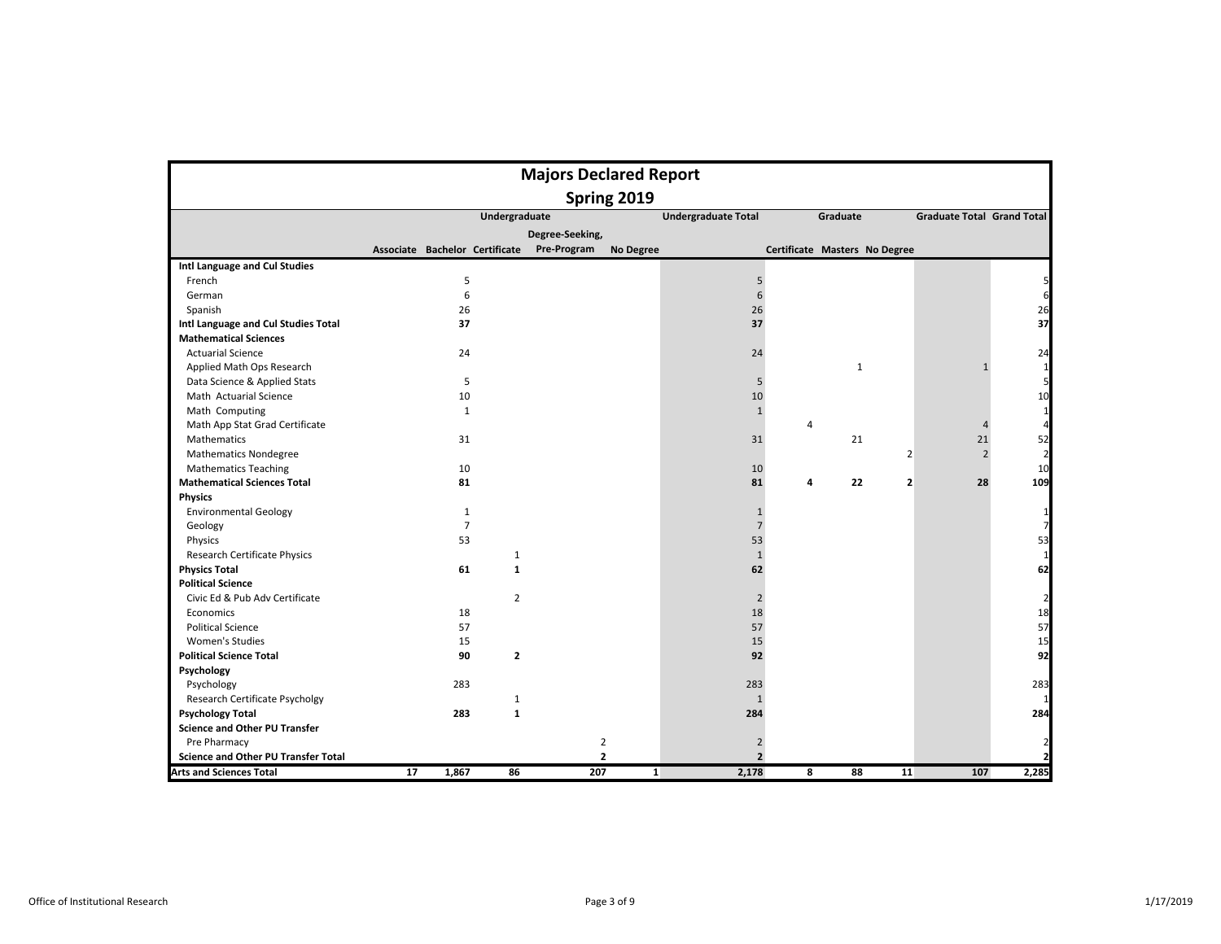|                                            |                                |                |                | <b>Majors Declared Report</b> |              |                            |   |                               |                         |                                   |                |
|--------------------------------------------|--------------------------------|----------------|----------------|-------------------------------|--------------|----------------------------|---|-------------------------------|-------------------------|-----------------------------------|----------------|
|                                            |                                |                |                |                               | Spring 2019  |                            |   |                               |                         |                                   |                |
|                                            |                                |                | Undergraduate  |                               |              | <b>Undergraduate Total</b> |   | Graduate                      |                         | <b>Graduate Total Grand Total</b> |                |
|                                            |                                |                |                | Degree-Seeking,               |              |                            |   |                               |                         |                                   |                |
|                                            | Associate Bachelor Certificate |                |                | Pre-Program                   | No Degree    |                            |   | Certificate Masters No Degree |                         |                                   |                |
| Intl Language and Cul Studies              |                                |                |                |                               |              |                            |   |                               |                         |                                   |                |
| French                                     |                                | 5              |                |                               |              | 5                          |   |                               |                         |                                   |                |
| German                                     |                                | 6              |                |                               |              | 6                          |   |                               |                         |                                   |                |
| Spanish                                    |                                | 26             |                |                               |              | 26                         |   |                               |                         |                                   | 26             |
| Intl Language and Cul Studies Total        |                                | 37             |                |                               |              | 37                         |   |                               |                         |                                   | 37             |
| <b>Mathematical Sciences</b>               |                                |                |                |                               |              |                            |   |                               |                         |                                   |                |
| <b>Actuarial Science</b>                   |                                | 24             |                |                               |              | 24                         |   |                               |                         |                                   | 24             |
| Applied Math Ops Research                  |                                |                |                |                               |              |                            |   | $\mathbf 1$                   |                         | $\mathbf{1}$                      | 1              |
| Data Science & Applied Stats               |                                | 5              |                |                               |              | 5                          |   |                               |                         |                                   | 5              |
| Math Actuarial Science                     |                                | 10             |                |                               |              | 10                         |   |                               |                         |                                   | 10             |
| Math Computing                             |                                | $\mathbf{1}$   |                |                               |              | $\mathbf{1}$               |   |                               |                         |                                   | 1              |
| Math App Stat Grad Certificate             |                                |                |                |                               |              |                            | 4 |                               |                         |                                   |                |
| Mathematics                                |                                | 31             |                |                               |              | 31                         |   | 21                            |                         | 21                                | 52             |
| <b>Mathematics Nondegree</b>               |                                |                |                |                               |              |                            |   |                               | $\overline{2}$          | $\overline{2}$                    | $\overline{2}$ |
| <b>Mathematics Teaching</b>                |                                | 10             |                |                               |              | 10                         |   |                               |                         |                                   | 10             |
| <b>Mathematical Sciences Total</b>         |                                | 81             |                |                               |              | 81                         | 4 | 22                            | $\overline{\mathbf{2}}$ | 28                                | 109            |
| <b>Physics</b>                             |                                |                |                |                               |              |                            |   |                               |                         |                                   |                |
| <b>Environmental Geology</b>               |                                | 1              |                |                               |              | $\mathbf{1}$               |   |                               |                         |                                   |                |
| Geology                                    |                                | $\overline{7}$ |                |                               |              | $\overline{7}$             |   |                               |                         |                                   |                |
| Physics                                    |                                | 53             |                |                               |              | 53                         |   |                               |                         |                                   | 53             |
| Research Certificate Physics               |                                |                | 1              |                               |              | $\mathbf{1}$               |   |                               |                         |                                   | 1              |
| <b>Physics Total</b>                       |                                | 61             | $\mathbf{1}$   |                               |              | 62                         |   |                               |                         |                                   | 62             |
| <b>Political Science</b>                   |                                |                |                |                               |              |                            |   |                               |                         |                                   |                |
| Civic Ed & Pub Adv Certificate             |                                |                | $\overline{2}$ |                               |              | $\overline{2}$             |   |                               |                         |                                   | 2              |
| Economics                                  |                                | 18             |                |                               |              | 18                         |   |                               |                         |                                   | 18             |
| <b>Political Science</b>                   |                                | 57             |                |                               |              | 57                         |   |                               |                         |                                   | 57             |
| Women's Studies                            |                                | 15             |                |                               |              | 15                         |   |                               |                         |                                   | 15             |
| <b>Political Science Total</b>             |                                | 90             | $\mathbf{2}$   |                               |              | 92                         |   |                               |                         |                                   | 92             |
| Psychology                                 |                                |                |                |                               |              |                            |   |                               |                         |                                   |                |
| Psychology                                 |                                | 283            |                |                               |              | 283                        |   |                               |                         |                                   | 283            |
| Research Certificate Psycholgy             |                                |                | $\mathbf{1}$   |                               |              | $\mathbf{1}$               |   |                               |                         |                                   |                |
| <b>Psychology Total</b>                    |                                | 283            | $\mathbf{1}$   |                               |              | 284                        |   |                               |                         |                                   | 284            |
| <b>Science and Other PU Transfer</b>       |                                |                |                |                               |              |                            |   |                               |                         |                                   |                |
| Pre Pharmacy                               |                                |                |                | $\overline{2}$                |              | $\overline{2}$             |   |                               |                         |                                   |                |
| <b>Science and Other PU Transfer Total</b> |                                |                |                | $\overline{2}$                |              | $\overline{2}$             |   |                               |                         |                                   |                |
| <b>Arts and Sciences Total</b>             | 17                             | 1,867          | 86             | 207                           | $\mathbf{1}$ | 2,178                      | 8 | 88                            | 11                      | 107                               | 2,285          |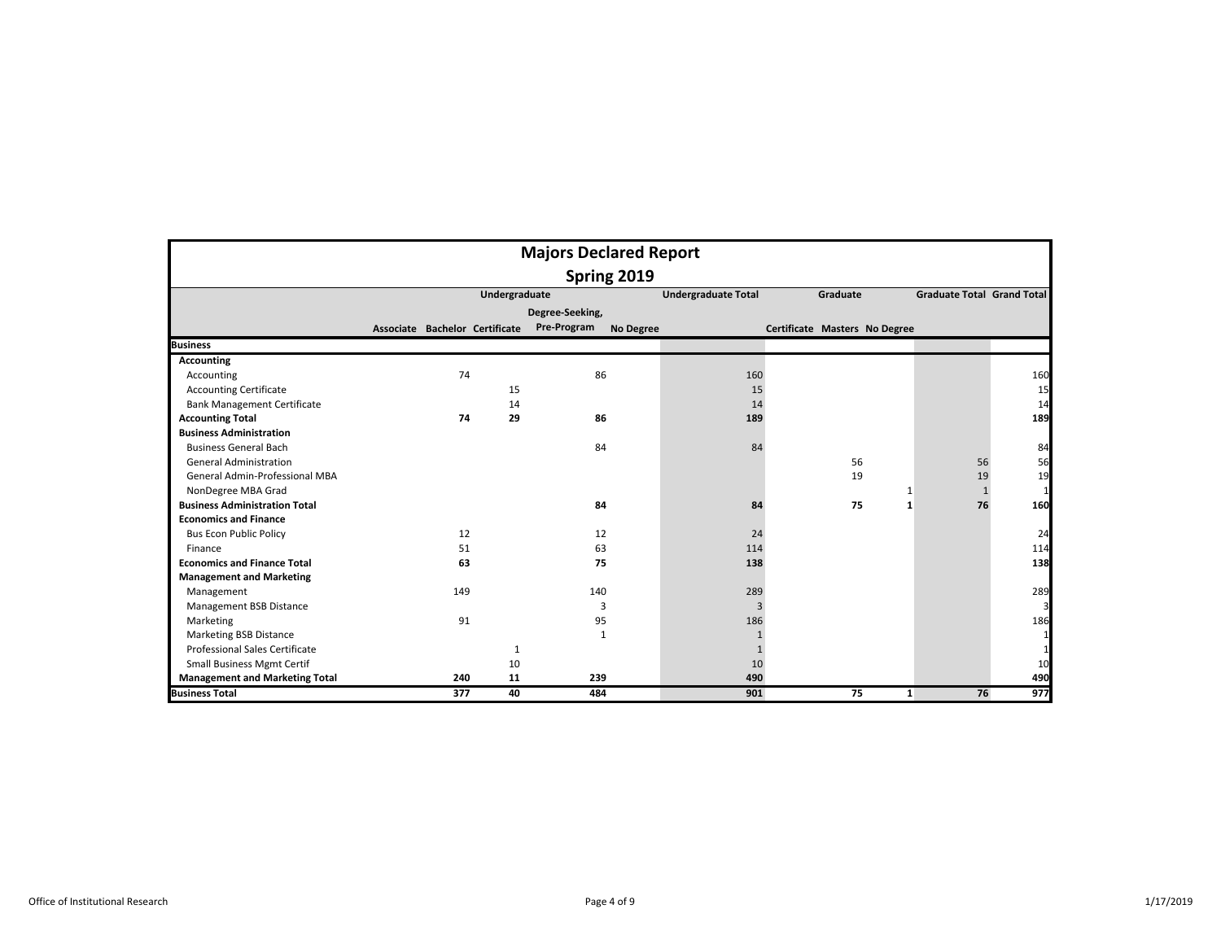|                                       |                                |     |               | <b>Majors Declared Report</b>   |                            |                               |                                   |     |
|---------------------------------------|--------------------------------|-----|---------------|---------------------------------|----------------------------|-------------------------------|-----------------------------------|-----|
|                                       |                                |     |               | Spring 2019                     |                            |                               |                                   |     |
|                                       |                                |     | Undergraduate |                                 | <b>Undergraduate Total</b> | Graduate                      | <b>Graduate Total Grand Total</b> |     |
|                                       |                                |     |               | Degree-Seeking,                 |                            |                               |                                   |     |
|                                       | Associate Bachelor Certificate |     |               | Pre-Program<br><b>No Degree</b> |                            | Certificate Masters No Degree |                                   |     |
| <b>Business</b>                       |                                |     |               |                                 |                            |                               |                                   |     |
| <b>Accounting</b>                     |                                |     |               |                                 |                            |                               |                                   |     |
| Accounting                            |                                | 74  |               | 86                              | 160                        |                               |                                   | 160 |
| <b>Accounting Certificate</b>         |                                |     | 15            |                                 | 15                         |                               |                                   | 15  |
| <b>Bank Management Certificate</b>    |                                |     | 14            |                                 | 14                         |                               |                                   | 14  |
| <b>Accounting Total</b>               |                                | 74  | 29            | 86                              | 189                        |                               |                                   | 189 |
| <b>Business Administration</b>        |                                |     |               |                                 |                            |                               |                                   |     |
| <b>Business General Bach</b>          |                                |     |               | 84                              | 84                         |                               |                                   | 84  |
| <b>General Administration</b>         |                                |     |               |                                 |                            | 56                            | 56                                | 56  |
| General Admin-Professional MBA        |                                |     |               |                                 |                            | 19                            | 19                                | 19  |
| NonDegree MBA Grad                    |                                |     |               |                                 |                            | $\mathbf{1}$                  | $\mathbf{1}$                      | 1   |
| <b>Business Administration Total</b>  |                                |     |               | 84                              | 84                         | 75<br>1                       | 76                                | 160 |
| <b>Economics and Finance</b>          |                                |     |               |                                 |                            |                               |                                   |     |
| <b>Bus Econ Public Policy</b>         |                                | 12  |               | 12                              | 24                         |                               |                                   | 24  |
| Finance                               |                                | 51  |               | 63                              | 114                        |                               |                                   | 114 |
| <b>Economics and Finance Total</b>    |                                | 63  |               | 75                              | 138                        |                               |                                   | 138 |
| <b>Management and Marketing</b>       |                                |     |               |                                 |                            |                               |                                   |     |
| Management                            |                                | 149 |               | 140                             | 289                        |                               |                                   | 289 |
| Management BSB Distance               |                                |     |               | 3                               | $\overline{\mathbf{3}}$    |                               |                                   | 3   |
| Marketing                             |                                | 91  |               | 95                              | 186                        |                               |                                   | 186 |
| <b>Marketing BSB Distance</b>         |                                |     |               | $\mathbf{1}$                    |                            |                               |                                   |     |
| Professional Sales Certificate        |                                |     | 1             |                                 | $\mathbf{1}$               |                               |                                   | 1   |
| <b>Small Business Mgmt Certif</b>     |                                |     | 10            |                                 | 10                         |                               |                                   | 10  |
| <b>Management and Marketing Total</b> |                                | 240 | 11            | 239                             | 490                        |                               |                                   | 490 |
| <b>Business Total</b>                 |                                | 377 | 40            | 484                             | 901                        | 75<br>1                       | 76                                | 977 |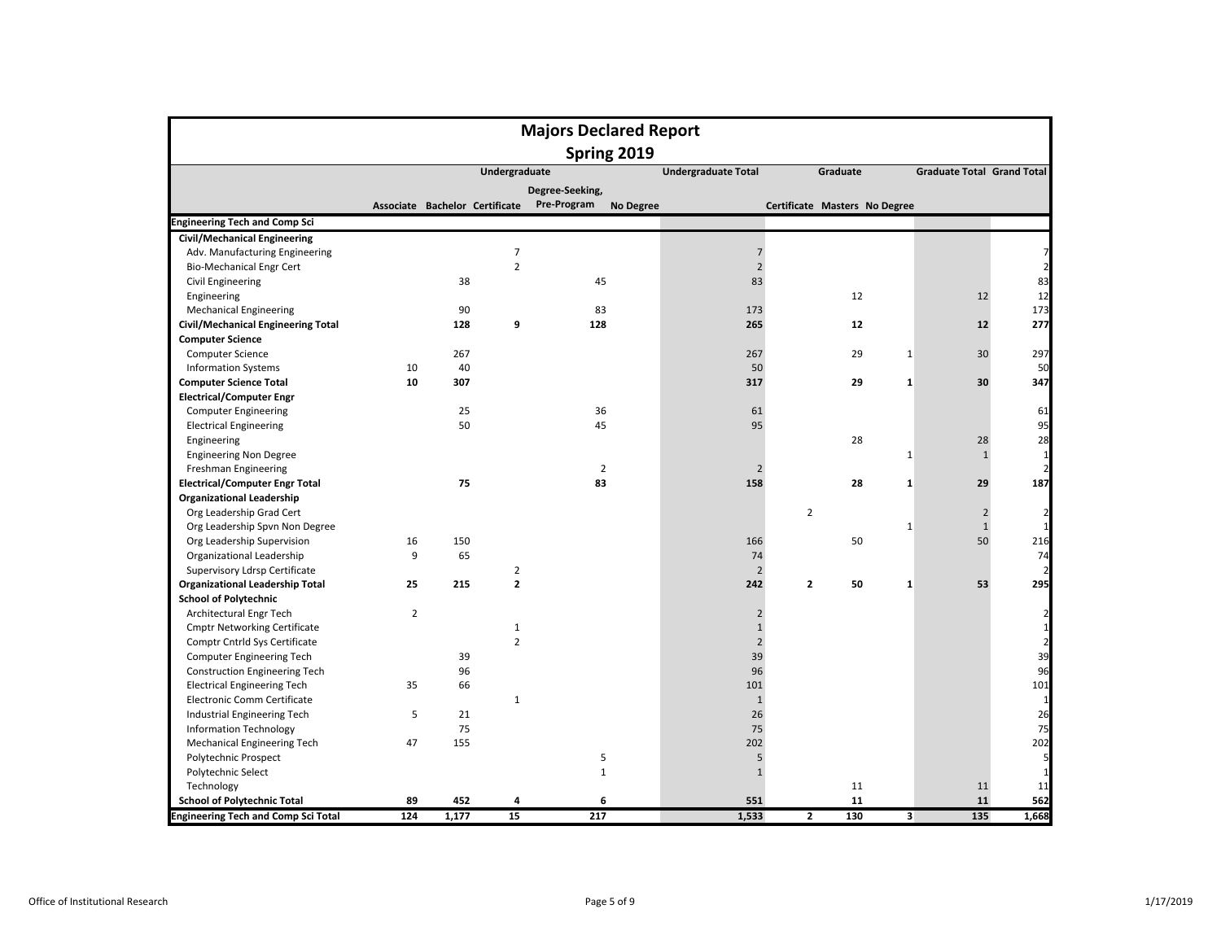|                                            |                |                                |                | <b>Majors Declared Report</b> |             |                            |                |                               |                         |                                   |                         |
|--------------------------------------------|----------------|--------------------------------|----------------|-------------------------------|-------------|----------------------------|----------------|-------------------------------|-------------------------|-----------------------------------|-------------------------|
|                                            |                |                                |                |                               | Spring 2019 |                            |                |                               |                         |                                   |                         |
|                                            |                |                                | Undergraduate  |                               |             | <b>Undergraduate Total</b> |                | Graduate                      |                         | <b>Graduate Total Grand Total</b> |                         |
|                                            |                |                                |                | Degree-Seeking,               |             |                            |                |                               |                         |                                   |                         |
|                                            |                | Associate Bachelor Certificate |                | Pre-Program                   | No Degree   |                            |                | Certificate Masters No Degree |                         |                                   |                         |
| <b>Engineering Tech and Comp Sci</b>       |                |                                |                |                               |             |                            |                |                               |                         |                                   |                         |
| <b>Civil/Mechanical Engineering</b>        |                |                                |                |                               |             |                            |                |                               |                         |                                   |                         |
| Adv. Manufacturing Engineering             |                |                                | $\overline{7}$ |                               |             | $\overline{7}$             |                |                               |                         |                                   | 7                       |
| <b>Bio-Mechanical Engr Cert</b>            |                |                                | $\overline{2}$ |                               |             | $\overline{2}$             |                |                               |                         |                                   | $\overline{2}$          |
| <b>Civil Engineering</b>                   |                | 38                             |                | 45                            |             | 83                         |                |                               |                         |                                   | 83                      |
| Engineering                                |                |                                |                |                               |             |                            |                | 12                            |                         | 12                                | 12                      |
| <b>Mechanical Engineering</b>              |                | 90                             |                | 83                            |             | 173                        |                |                               |                         |                                   | 173                     |
| <b>Civil/Mechanical Engineering Total</b>  |                | 128                            | 9              | 128                           |             | 265                        |                | 12                            |                         | 12                                | 277                     |
| <b>Computer Science</b>                    |                |                                |                |                               |             |                            |                |                               |                         |                                   |                         |
| <b>Computer Science</b>                    |                | 267                            |                |                               |             | 267                        |                | 29                            | $\mathbf{1}$            | 30                                | 297                     |
| <b>Information Systems</b>                 | 10             | 40                             |                |                               |             | 50                         |                |                               |                         |                                   | 50                      |
| <b>Computer Science Total</b>              | 10             | 307                            |                |                               |             | 317                        |                | 29                            | $\mathbf{1}$            | 30                                | 347                     |
| <b>Electrical/Computer Engr</b>            |                |                                |                |                               |             |                            |                |                               |                         |                                   |                         |
| <b>Computer Engineering</b>                |                | 25                             |                | 36                            |             | 61                         |                |                               |                         |                                   | 61                      |
| <b>Electrical Engineering</b>              |                | 50                             |                | 45                            |             | 95                         |                |                               |                         |                                   | 95                      |
| Engineering                                |                |                                |                |                               |             |                            |                | 28                            |                         | 28                                | 28                      |
| <b>Engineering Non Degree</b>              |                |                                |                |                               |             |                            |                |                               | $\mathbf{1}$            | $\mathbf{1}$                      | $\mathbf{1}$            |
| Freshman Engineering                       |                |                                |                | $\overline{2}$                |             | $\overline{2}$             |                |                               |                         |                                   | $\overline{2}$          |
| <b>Electrical/Computer Engr Total</b>      |                | 75                             |                | 83                            |             | 158                        |                | 28                            | $\mathbf{1}$            | 29                                | 187                     |
| <b>Organizational Leadership</b>           |                |                                |                |                               |             |                            |                |                               |                         |                                   |                         |
| Org Leadership Grad Cert                   |                |                                |                |                               |             |                            | $\overline{2}$ |                               |                         | $\overline{2}$                    | $\overline{2}$          |
| Org Leadership Spvn Non Degree             |                |                                |                |                               |             |                            |                |                               | 1                       | $\mathbf{1}$                      | $\mathbf{1}$            |
| Org Leadership Supervision                 | 16             | 150                            |                |                               |             | 166                        |                | 50                            |                         | 50                                | 216                     |
| Organizational Leadership                  | 9              | 65                             |                |                               |             | 74                         |                |                               |                         |                                   | 74                      |
| Supervisory Ldrsp Certificate              |                |                                | $\overline{2}$ |                               |             | $\overline{2}$             |                |                               |                         |                                   | 2                       |
| <b>Organizational Leadership Total</b>     | 25             | 215                            | $\mathbf{2}$   |                               |             | 242                        | 2              | 50                            | $\mathbf{1}$            | 53                                | 295                     |
| <b>School of Polytechnic</b>               |                |                                |                |                               |             |                            |                |                               |                         |                                   |                         |
| Architectural Engr Tech                    | $\overline{2}$ |                                |                |                               |             | $\overline{2}$             |                |                               |                         |                                   | $\overline{a}$          |
| <b>Cmptr Networking Certificate</b>        |                |                                | 1              |                               |             | $\mathbf{1}$               |                |                               |                         |                                   | $\mathbf 1$             |
| Comptr Cntrld Sys Certificate              |                |                                | $\overline{2}$ |                               |             | $\overline{2}$             |                |                               |                         |                                   | $\overline{\mathbf{c}}$ |
| Computer Engineering Tech                  |                | 39                             |                |                               |             | 39                         |                |                               |                         |                                   | 39                      |
| <b>Construction Engineering Tech</b>       |                | 96                             |                |                               |             | 96                         |                |                               |                         |                                   | 96                      |
| <b>Electrical Engineering Tech</b>         | 35             | 66                             |                |                               |             | 101                        |                |                               |                         |                                   | 101                     |
| Electronic Comm Certificate                |                |                                | $\mathbf{1}$   |                               |             | $\mathbf{1}$               |                |                               |                         |                                   | $\mathbf{1}$            |
| Industrial Engineering Tech                | 5              | 21                             |                |                               |             | 26                         |                |                               |                         |                                   | 26                      |
| Information Technology                     |                | 75                             |                |                               |             | 75                         |                |                               |                         |                                   | 75                      |
| Mechanical Engineering Tech                | 47             | 155                            |                |                               |             | 202                        |                |                               |                         |                                   | 202                     |
| Polytechnic Prospect                       |                |                                |                | 5                             |             | 5                          |                |                               |                         |                                   | 5                       |
| Polytechnic Select                         |                |                                |                | $\mathbf{1}$                  |             | $\mathbf{1}$               |                |                               |                         |                                   | $\mathbf{1}$            |
| Technology                                 |                |                                |                |                               |             |                            |                | 11                            |                         | 11                                | 11                      |
| <b>School of Polytechnic Total</b>         | 89             | 452                            | 4              | 6                             |             | 551                        |                | 11                            |                         | 11                                | 562                     |
| <b>Engineering Tech and Comp Sci Total</b> | 124            | 1,177                          | 15             | 217                           |             | 1,533                      | $\overline{2}$ | 130                           | $\overline{\mathbf{3}}$ | 135                               | 1,668                   |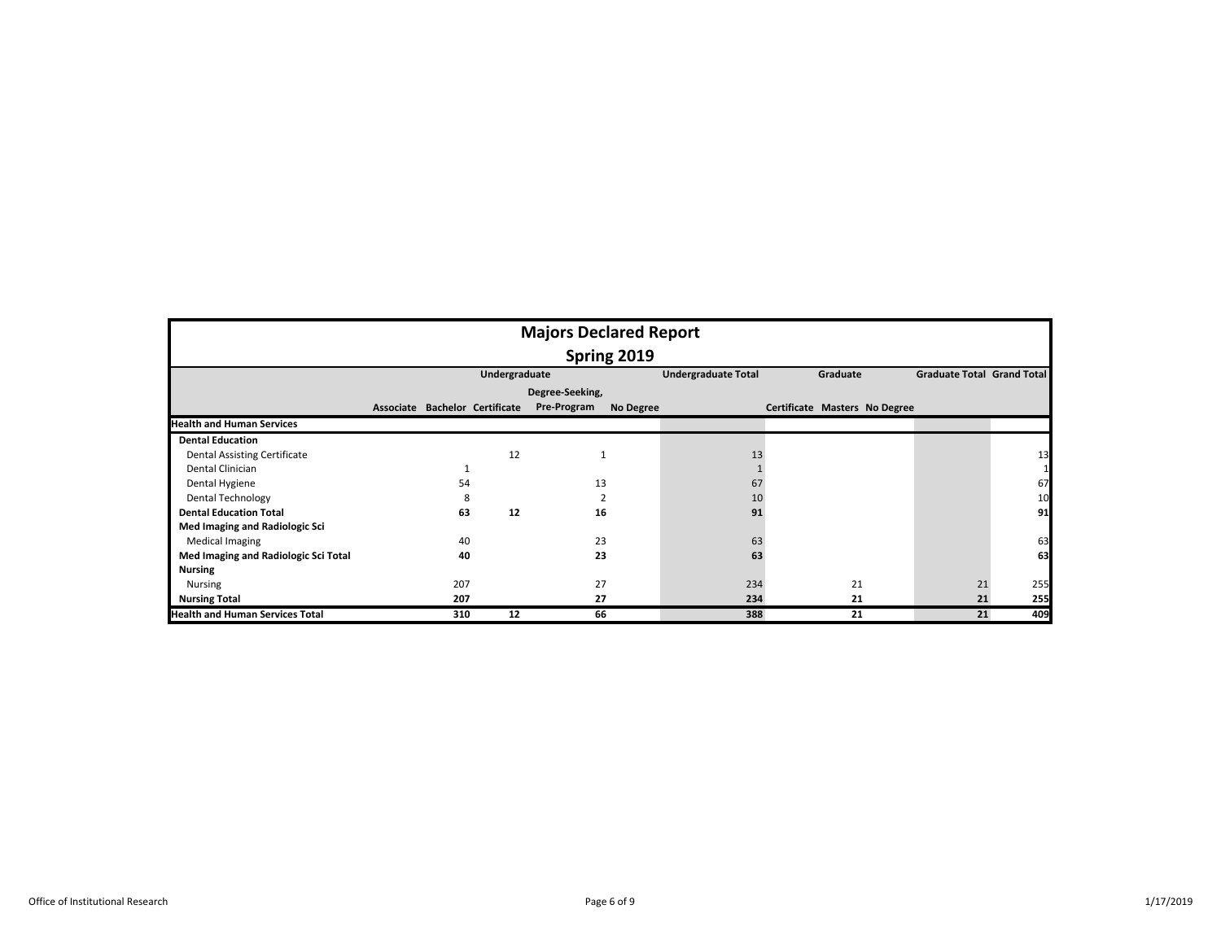|                                        |  |                                |               | <b>Majors Declared Report</b> |           |                            |  |                               |                                   |     |  |  |  |
|----------------------------------------|--|--------------------------------|---------------|-------------------------------|-----------|----------------------------|--|-------------------------------|-----------------------------------|-----|--|--|--|
| Spring 2019                            |  |                                |               |                               |           |                            |  |                               |                                   |     |  |  |  |
|                                        |  |                                | Undergraduate |                               |           | <b>Undergraduate Total</b> |  | Graduate                      | <b>Graduate Total Grand Total</b> |     |  |  |  |
|                                        |  |                                |               | Degree-Seeking,               |           |                            |  |                               |                                   |     |  |  |  |
|                                        |  | Associate Bachelor Certificate |               | Pre-Program                   | No Degree |                            |  | Certificate Masters No Degree |                                   |     |  |  |  |
| <b>Health and Human Services</b>       |  |                                |               |                               |           |                            |  |                               |                                   |     |  |  |  |
| <b>Dental Education</b>                |  |                                |               |                               |           |                            |  |                               |                                   |     |  |  |  |
| <b>Dental Assisting Certificate</b>    |  |                                | 12            |                               |           | 13                         |  |                               |                                   | 13  |  |  |  |
| Dental Clinician                       |  |                                |               |                               |           |                            |  |                               |                                   |     |  |  |  |
| Dental Hygiene                         |  | 54                             |               | 13                            |           | 67                         |  |                               |                                   | 67  |  |  |  |
| Dental Technology                      |  | 8                              |               |                               |           | 10                         |  |                               |                                   | 10  |  |  |  |
| <b>Dental Education Total</b>          |  | 63                             | 12            | 16                            |           | 91                         |  |                               |                                   | 91  |  |  |  |
| Med Imaging and Radiologic Sci         |  |                                |               |                               |           |                            |  |                               |                                   |     |  |  |  |
| <b>Medical Imaging</b>                 |  | 40                             |               | 23                            |           | 63                         |  |                               |                                   | 63  |  |  |  |
| Med Imaging and Radiologic Sci Total   |  | 40                             |               | 23                            |           | 63                         |  |                               |                                   | 63  |  |  |  |
| <b>Nursing</b>                         |  |                                |               |                               |           |                            |  |                               |                                   |     |  |  |  |
| Nursing                                |  | 207                            |               | 27                            |           | 234                        |  | 21                            | 21                                | 255 |  |  |  |
| <b>Nursing Total</b>                   |  | 207                            |               | 27                            |           | 234                        |  | 21                            | 21                                | 255 |  |  |  |
| <b>Health and Human Services Total</b> |  | 310                            | 12            | 66                            |           | 388                        |  | 21                            | 21                                | 409 |  |  |  |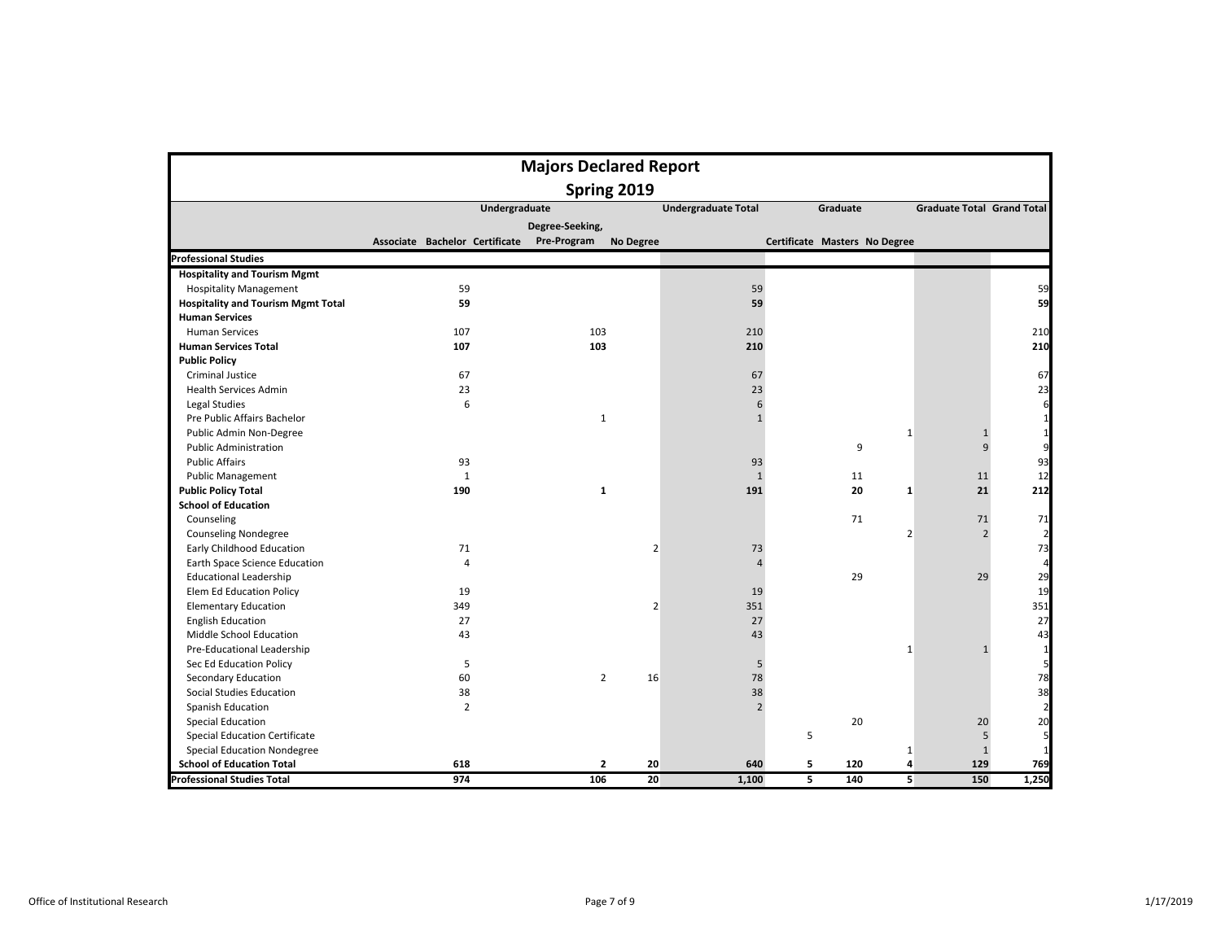|                                           |                                | <b>Majors Declared Report</b>   |                            |   |                               |                |                                   |                |
|-------------------------------------------|--------------------------------|---------------------------------|----------------------------|---|-------------------------------|----------------|-----------------------------------|----------------|
|                                           |                                | Spring 2019                     |                            |   |                               |                |                                   |                |
|                                           | Undergraduate                  |                                 | <b>Undergraduate Total</b> |   | Graduate                      |                | <b>Graduate Total Grand Total</b> |                |
|                                           |                                | Degree-Seeking,                 |                            |   |                               |                |                                   |                |
|                                           | Associate Bachelor Certificate | Pre-Program<br><b>No Degree</b> |                            |   | Certificate Masters No Degree |                |                                   |                |
| <b>Professional Studies</b>               |                                |                                 |                            |   |                               |                |                                   |                |
| <b>Hospitality and Tourism Mgmt</b>       |                                |                                 |                            |   |                               |                |                                   |                |
| <b>Hospitality Management</b>             | 59                             |                                 | 59                         |   |                               |                |                                   | 59             |
| <b>Hospitality and Tourism Mgmt Total</b> | 59                             |                                 | 59                         |   |                               |                |                                   | 59             |
| <b>Human Services</b>                     |                                |                                 |                            |   |                               |                |                                   |                |
| <b>Human Services</b>                     | 107                            | 103                             | 210                        |   |                               |                |                                   | 210            |
| <b>Human Services Total</b>               | 107                            | 103                             | 210                        |   |                               |                |                                   | 210            |
| <b>Public Policy</b>                      |                                |                                 |                            |   |                               |                |                                   |                |
| <b>Criminal Justice</b>                   | 67                             |                                 | 67                         |   |                               |                |                                   | 67             |
| <b>Health Services Admin</b>              | 23                             |                                 | 23                         |   |                               |                |                                   | 23             |
| Legal Studies                             | 6                              |                                 | 6                          |   |                               |                |                                   | 6              |
| Pre Public Affairs Bachelor               |                                | 1                               | $\mathbf{1}$               |   |                               |                |                                   | 1              |
| Public Admin Non-Degree                   |                                |                                 |                            |   |                               | $1\,$          | $\mathbf{1}$                      | $\mathbf{1}$   |
| <b>Public Administration</b>              |                                |                                 |                            |   | 9                             |                | $\overline{9}$                    | 9              |
| <b>Public Affairs</b>                     | 93                             |                                 | 93                         |   |                               |                |                                   | 93             |
| <b>Public Management</b>                  | $\mathbf{1}$                   |                                 | $\mathbf{1}$               |   | 11                            |                | 11                                | 12             |
| <b>Public Policy Total</b>                | 190                            | $\mathbf{1}$                    | 191                        |   | 20                            | $\mathbf{1}$   | 21                                | 212            |
| <b>School of Education</b>                |                                |                                 |                            |   |                               |                |                                   |                |
| Counseling                                |                                |                                 |                            |   | 71                            |                | 71                                | 71             |
| <b>Counseling Nondegree</b>               |                                |                                 |                            |   |                               | $\overline{2}$ | $\overline{2}$                    | $\overline{2}$ |
| Early Childhood Education                 | 71                             | $\overline{2}$                  | 73                         |   |                               |                |                                   | 73             |
| Earth Space Science Education             | $\overline{4}$                 |                                 | 4                          |   |                               |                |                                   | 4              |
| <b>Educational Leadership</b>             |                                |                                 |                            |   | 29                            |                | 29                                | 29             |
| Elem Ed Education Policy                  | 19                             |                                 | 19                         |   |                               |                |                                   | 19             |
| <b>Elementary Education</b>               | 349                            | $\overline{2}$                  | 351                        |   |                               |                |                                   | 351            |
| <b>English Education</b>                  | 27                             |                                 | 27                         |   |                               |                |                                   | 27             |
| Middle School Education                   | 43                             |                                 | 43                         |   |                               |                |                                   | 43             |
| Pre-Educational Leadership                |                                |                                 |                            |   |                               | $1\,$          | $\mathbf{1}$                      | 1              |
| Sec Ed Education Policy                   | 5                              |                                 | 5                          |   |                               |                |                                   | 5              |
| Secondary Education                       | 60                             | $\overline{2}$<br>16            | 78                         |   |                               |                |                                   | 78             |
| Social Studies Education                  | 38                             |                                 | 38                         |   |                               |                |                                   | 38             |
| Spanish Education                         | $\overline{2}$                 |                                 | $\overline{2}$             |   |                               |                |                                   | $\overline{2}$ |
| <b>Special Education</b>                  |                                |                                 |                            |   | 20                            |                | 20                                | 20             |
| <b>Special Education Certificate</b>      |                                |                                 |                            | 5 |                               |                | 5                                 | 5              |
| <b>Special Education Nondegree</b>        |                                |                                 |                            |   |                               | $1\,$          | $\mathbf{1}$                      | $\mathbf{1}$   |
| <b>School of Education Total</b>          | 618                            | $\mathbf{2}$<br>20              | 640                        | 5 | 120                           | 4              | 129                               | 769            |
| <b>Professional Studies Total</b>         | 974                            | 106<br>20                       | 1,100                      | 5 | 140                           | 5              | 150                               | 1,250          |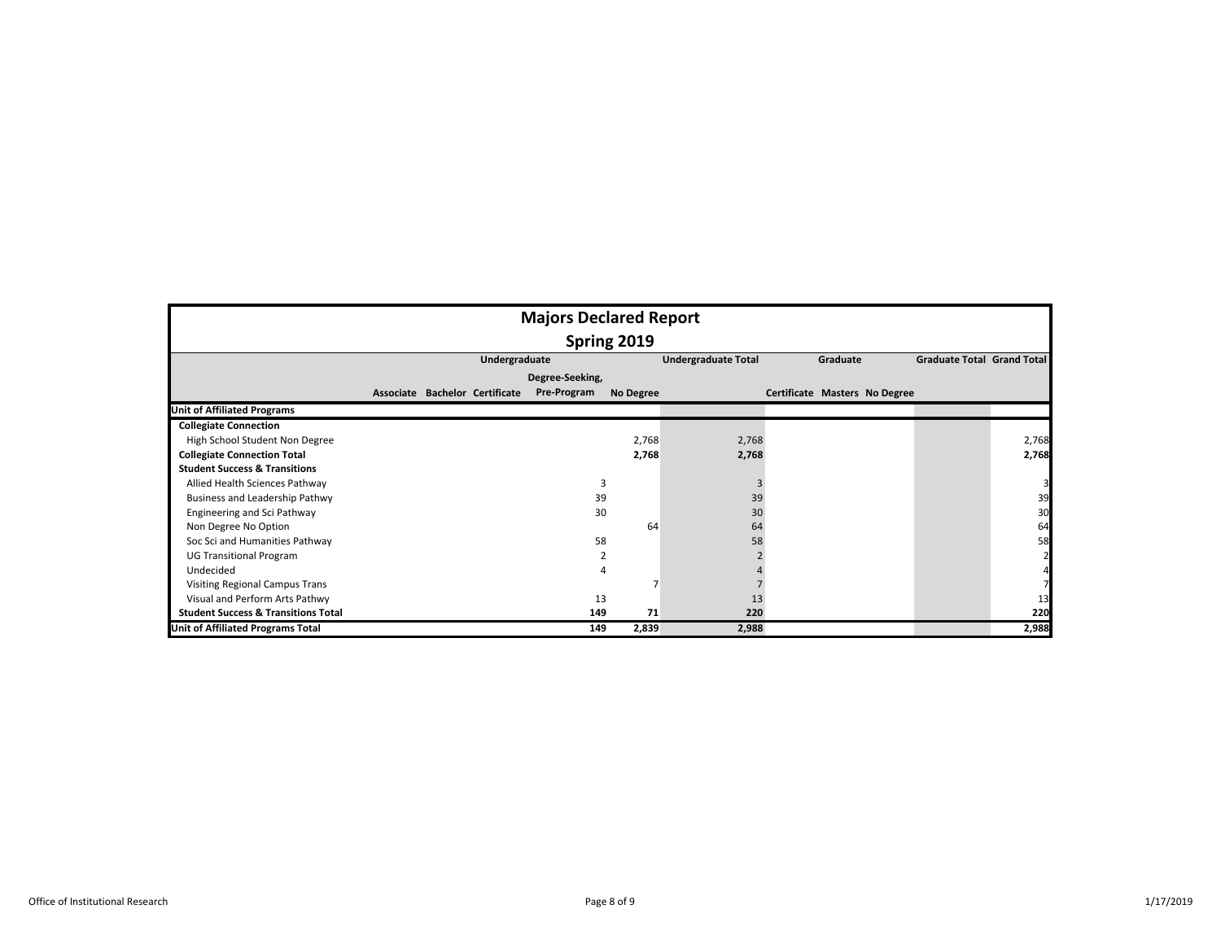|                                                |             |                                | <b>Majors Declared Report</b> |           |                            |                               |                                   |       |  |  |  |  |  |  |
|------------------------------------------------|-------------|--------------------------------|-------------------------------|-----------|----------------------------|-------------------------------|-----------------------------------|-------|--|--|--|--|--|--|
|                                                | Spring 2019 |                                |                               |           |                            |                               |                                   |       |  |  |  |  |  |  |
|                                                |             | Undergraduate                  |                               |           | <b>Undergraduate Total</b> | Graduate                      | <b>Graduate Total Grand Total</b> |       |  |  |  |  |  |  |
|                                                |             |                                | Degree-Seeking,               |           |                            |                               |                                   |       |  |  |  |  |  |  |
|                                                |             | Associate Bachelor Certificate | Pre-Program                   | No Degree |                            | Certificate Masters No Degree |                                   |       |  |  |  |  |  |  |
| <b>Unit of Affiliated Programs</b>             |             |                                |                               |           |                            |                               |                                   |       |  |  |  |  |  |  |
| <b>Collegiate Connection</b>                   |             |                                |                               |           |                            |                               |                                   |       |  |  |  |  |  |  |
| High School Student Non Degree                 |             |                                |                               | 2,768     | 2,768                      |                               |                                   | 2,768 |  |  |  |  |  |  |
| <b>Collegiate Connection Total</b>             |             |                                |                               | 2,768     | 2,768                      |                               |                                   | 2,768 |  |  |  |  |  |  |
| <b>Student Success &amp; Transitions</b>       |             |                                |                               |           |                            |                               |                                   |       |  |  |  |  |  |  |
| Allied Health Sciences Pathway                 |             |                                | 3                             |           | 3                          |                               |                                   |       |  |  |  |  |  |  |
| Business and Leadership Pathwy                 |             |                                | 39                            |           | 39                         |                               |                                   | 39    |  |  |  |  |  |  |
| <b>Engineering and Sci Pathway</b>             |             |                                | 30                            |           | 30                         |                               |                                   | 30    |  |  |  |  |  |  |
| Non Degree No Option                           |             |                                |                               | 64        | 64                         |                               |                                   | 64    |  |  |  |  |  |  |
| Soc Sci and Humanities Pathway                 |             |                                | 58                            |           | 58                         |                               |                                   | 58    |  |  |  |  |  |  |
| <b>UG Transitional Program</b>                 |             |                                |                               |           |                            |                               |                                   |       |  |  |  |  |  |  |
| Undecided                                      |             |                                |                               |           |                            |                               |                                   |       |  |  |  |  |  |  |
| Visiting Regional Campus Trans                 |             |                                |                               |           |                            |                               |                                   |       |  |  |  |  |  |  |
| Visual and Perform Arts Pathwy                 |             |                                | 13                            |           | 13                         |                               |                                   | 13    |  |  |  |  |  |  |
| <b>Student Success &amp; Transitions Total</b> |             |                                | 149                           | 71        | 220                        |                               |                                   | 220   |  |  |  |  |  |  |
| <b>Unit of Affiliated Programs Total</b>       |             |                                | 149                           | 2,839     | 2,988                      |                               |                                   | 2,988 |  |  |  |  |  |  |